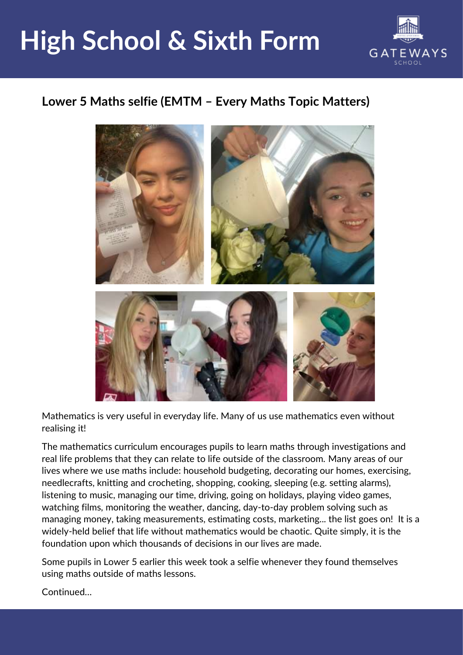## **High School & Sixth Form**



## **Lower 5 Maths selfie (EMTM – Every Maths Topic Matters)**



Mathematics is very useful in everyday life. Many of us use mathematics even without realising it!

The mathematics curriculum encourages pupils to learn maths through investigations and real life problems that they can relate to life outside of the classroom. Many areas of our lives where we use maths include: household budgeting, decorating our homes, exercising, needlecrafts, knitting and crocheting, shopping, cooking, sleeping (e.g. setting alarms), listening to music, managing our time, driving, going on holidays, playing video games, watching films, monitoring the weather, dancing, day-to-day problem solving such as managing money, taking measurements, estimating costs, marketing... the list goes on! It is a widely-held belief that life without mathematics would be chaotic. Quite simply, it is the foundation upon which thousands of decisions in our lives are made.

Some pupils in Lower 5 earlier this week took a selfie whenever they found themselves using maths outside of maths lessons.

Continued…